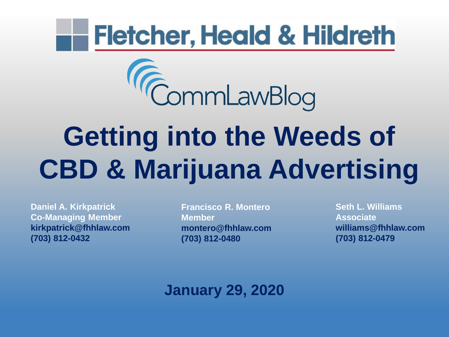# **Fletcher, Heald & Hildreth**



# **Getting into the Weeds of CBD & Marijuana Advertising**

**Daniel A. Kirkpatrick Co-Managing Member kirkpatrick@fhhlaw.com (703) 812-0432**

**Francisco R. Montero Member montero@fhhlaw.com (703) 812-0480**

**Seth L. Williams Associate williams@fhhlaw.com (703) 812-0479**

**January 29, 2020**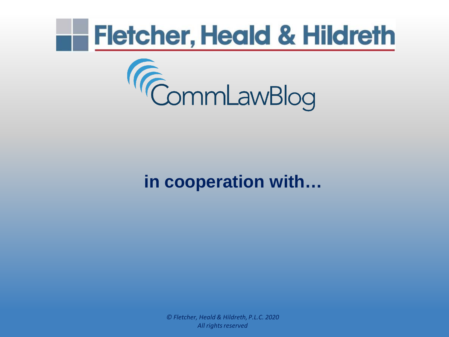



## **in cooperation with…**

*© Fletcher, Heald & Hildreth, P.L.C. 2020 All rights reserved*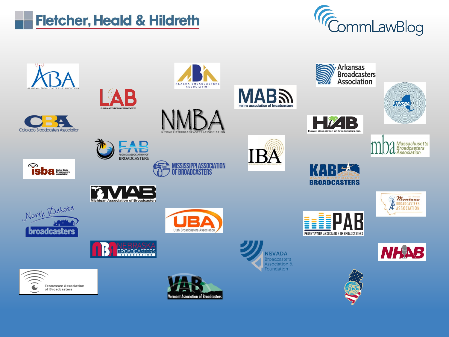



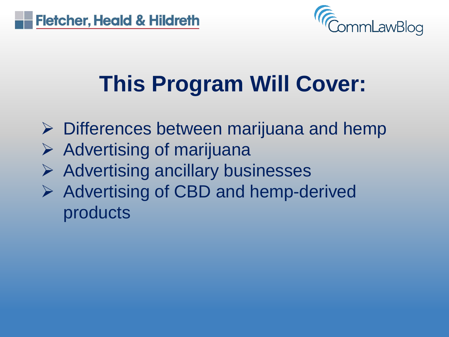

## **This Program Will Cover:**

- $\triangleright$  Differences between marijuana and hemp
- $\triangleright$  Advertising of marijuana
- $\triangleright$  Advertising ancillary businesses
- $\triangleright$  Advertising of CBD and hemp-derived products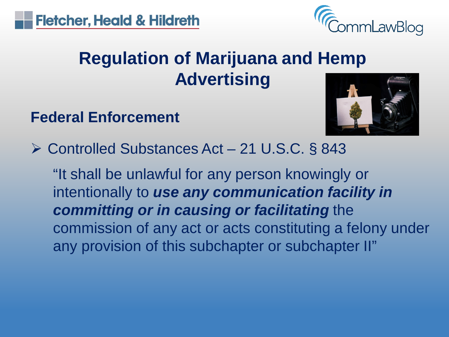

## **Regulation of Marijuana and Hemp Advertising**

## **Federal Enforcement**



Controlled Substances Act – 21 U.S.C. § 843

"It shall be unlawful for any person knowingly or intentionally to *use any communication facility in committing or in causing or facilitating* the commission of any act or acts constituting a felony under any provision of this subchapter or subchapter II"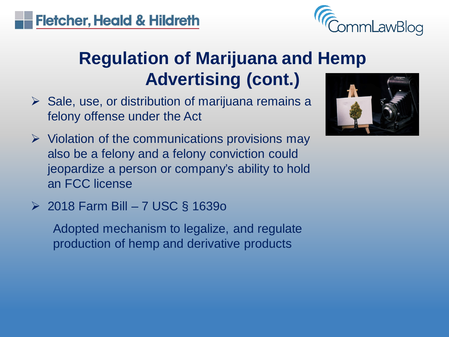**Fletcher, Heald & Hildreth** 



## **Regulation of Marijuana and Hemp Advertising (cont.)**

- $\triangleright$  Sale, use, or distribution of marijuana remains a felony offense under the Act
- $\triangleright$  Violation of the communications provisions may also be a felony and a felony conviction could jeopardize a person or company's ability to hold an FCC license
- $\geq$  2018 Farm Bill 7 USC § 16390

Adopted mechanism to legalize, and regulate production of hemp and derivative products

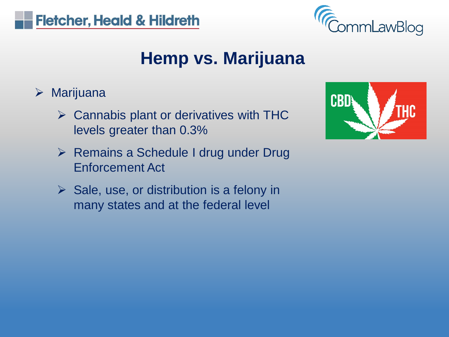



## **Hemp vs. Marijuana**

- $\triangleright$  Marijuana
	- $\triangleright$  Cannabis plant or derivatives with THC levels greater than 0.3%
	- $\triangleright$  Remains a Schedule I drug under Drug Enforcement Act
	- $\triangleright$  Sale, use, or distribution is a felony in many states and at the federal level

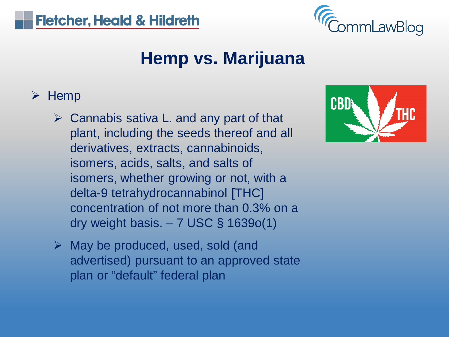



## **Hemp vs. Marijuana**

#### $\triangleright$  Hemp

- $\triangleright$  Cannabis sativa L. and any part of that plant, including the seeds thereof and all derivatives, extracts, cannabinoids, isomers, acids, salts, and salts of isomers, whether growing or not, with a delta-9 tetrahydrocannabinol [THC] concentration of not more than 0.3% on a dry weight basis.  $-7$  USC § 1639 $o(1)$
- $\triangleright$  May be produced, used, sold (and advertised) pursuant to an approved state plan or "default" federal plan

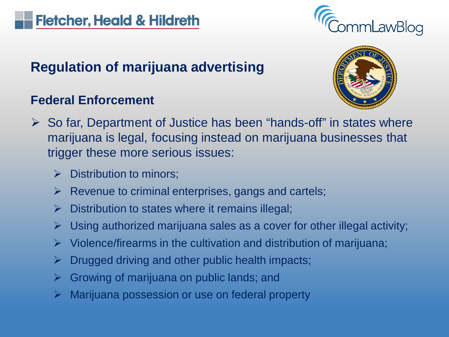

#### **Regulation of marijuana advertising**

#### **Federal Enforcement**



- $\triangleright$  So far, Department of Justice has been "hands-off" in states where marijuana is legal, focusing instead on marijuana businesses that trigger these more serious issues:
	- $\triangleright$  Distribution to minors;
	- $\triangleright$  Revenue to criminal enterprises, gangs and cartels;
	- Distribution to states where it remains illegal;
	- Using authorized marijuana sales as a cover for other illegal activity;
	- $\triangleright$  Violence/firearms in the cultivation and distribution of marijuana;
	- Drugged driving and other public health impacts;
	- Growing of marijuana on public lands; and
	- Marijuana possession or use on federal property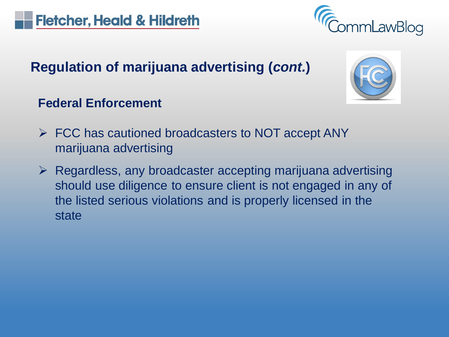

nmLawBlog

#### **Federal Enforcement**

- $\triangleright$  FCC has cautioned broadcasters to NOT accept ANY marijuana advertising
- $\triangleright$  Regardless, any broadcaster accepting marijuana advertising should use diligence to ensure client is not engaged in any of the listed serious violations and is properly licensed in the state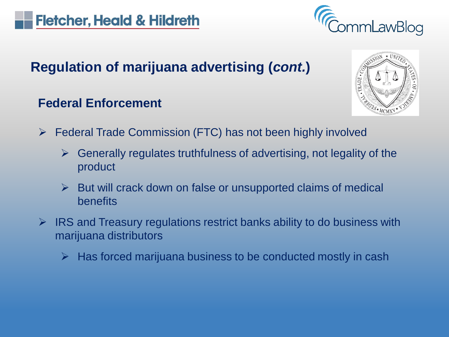

#### **Federal Enforcement**



- $\triangleright$  Federal Trade Commission (FTC) has not been highly involved
	- Generally regulates truthfulness of advertising, not legality of the product
	- $\triangleright$  But will crack down on false or unsupported claims of medical benefits
- $\triangleright$  IRS and Treasury regulations restrict banks ability to do business with marijuana distributors
	- $\triangleright$  Has forced marijuana business to be conducted mostly in cash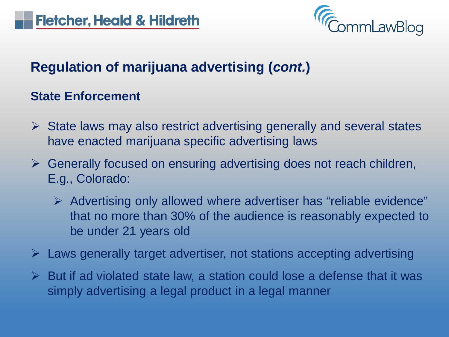

#### **State Enforcement**

- $\triangleright$  State laws may also restrict advertising generally and several states have enacted marijuana specific advertising laws
- $\triangleright$  Generally focused on ensuring advertising does not reach children, E.g., Colorado:
	- $\triangleright$  Advertising only allowed where advertiser has "reliable evidence" that no more than 30% of the audience is reasonably expected to be under 21 years old
- Laws generally target advertiser, not stations accepting advertising
- $\triangleright$  But if ad violated state law, a station could lose a defense that it was simply advertising a legal product in a legal manner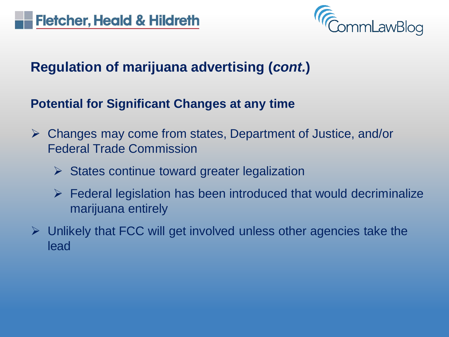

#### **Potential for Significant Changes at any time**

- Changes may come from states, Department of Justice, and/or Federal Trade Commission
	- $\triangleright$  States continue toward greater legalization
	- $\triangleright$  Federal legislation has been introduced that would decriminalize marijuana entirely
- $\triangleright$  Unlikely that FCC will get involved unless other agencies take the lead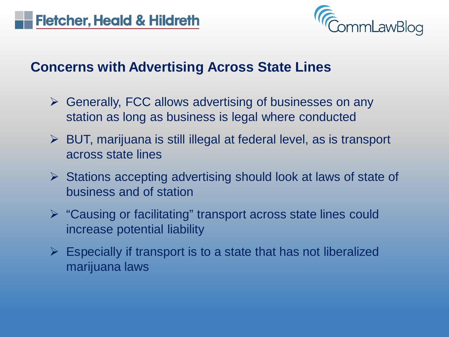

#### **Concerns with Advertising Across State Lines**

- $\triangleright$  Generally, FCC allows advertising of businesses on any station as long as business is legal where conducted
- BUT, marijuana is still illegal at federal level, as is transport across state lines
- $\triangleright$  Stations accepting advertising should look at laws of state of business and of station
- $\triangleright$  "Causing or facilitating" transport across state lines could increase potential liability
- $\triangleright$  Especially if transport is to a state that has not liberalized marijuana laws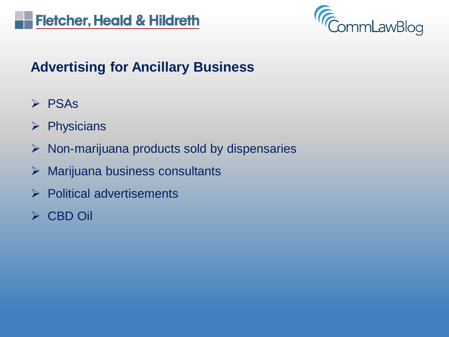

#### **Advertising for Ancillary Business**

- $\triangleright$  PSAs
- $\triangleright$  Physicians
- $\triangleright$  Non-marijuana products sold by dispensaries
- $\triangleright$  Marijuana business consultants
- $\triangleright$  Political advertisements
- CBD Oil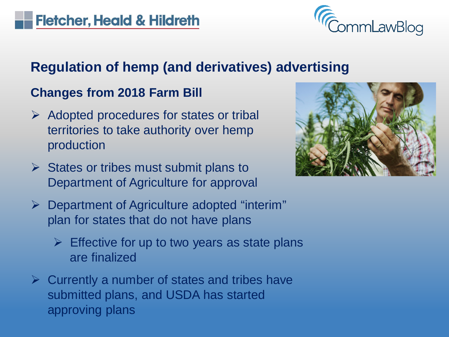

#### **Changes from 2018 Farm Bill**

- $\triangleright$  Adopted procedures for states or tribal territories to take authority over hemp production
- $\triangleright$  States or tribes must submit plans to Department of Agriculture for approval
- $\triangleright$  Department of Agriculture adopted "interim" plan for states that do not have plans
	- $\triangleright$  Effective for up to two years as state plans are finalized
- $\triangleright$  Currently a number of states and tribes have submitted plans, and USDA has started approving plans

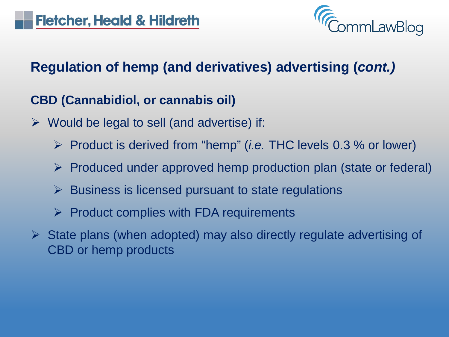

#### **CBD (Cannabidiol, or cannabis oil)**

- $\triangleright$  Would be legal to sell (and advertise) if:
	- Product is derived from "hemp" (*i.e.* THC levels 0.3 % or lower)
	- $\triangleright$  Produced under approved hemp production plan (state or federal)
	- $\triangleright$  Business is licensed pursuant to state regulations
	- $\triangleright$  Product complies with FDA requirements
- $\triangleright$  State plans (when adopted) may also directly regulate advertising of CBD or hemp products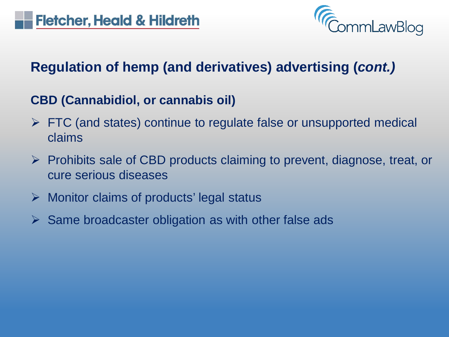

#### **CBD (Cannabidiol, or cannabis oil)**

- $\triangleright$  FTC (and states) continue to regulate false or unsupported medical claims
- $\triangleright$  Prohibits sale of CBD products claiming to prevent, diagnose, treat, or cure serious diseases
- Monitor claims of products' legal status
- $\triangleright$  Same broadcaster obligation as with other false ads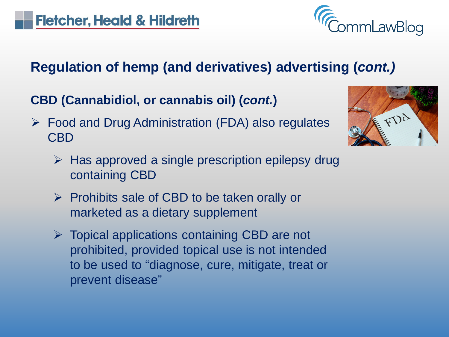

**CBD (Cannabidiol, or cannabis oil) (***cont.***)**

 $\triangleright$  Food and Drug Administration (FDA) also regulates CBD



- $\triangleright$  Has approved a single prescription epilepsy drug containing CBD
- $\triangleright$  Prohibits sale of CBD to be taken orally or marketed as a dietary supplement
- $\triangleright$  Topical applications containing CBD are not prohibited, provided topical use is not intended to be used to "diagnose, cure, mitigate, treat or prevent disease"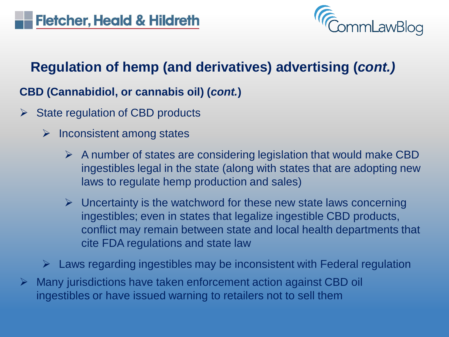

#### **CBD (Cannabidiol, or cannabis oil) (***cont.***)**

- $\triangleright$  State regulation of CBD products
	- $\triangleright$  Inconsistent among states
		- $\triangleright$  A number of states are considering legislation that would make CBD ingestibles legal in the state (along with states that are adopting new laws to regulate hemp production and sales)
		- $\triangleright$  Uncertainty is the watchword for these new state laws concerning ingestibles; even in states that legalize ingestible CBD products, conflict may remain between state and local health departments that cite FDA regulations and state law
	- $\triangleright$  Laws regarding ingestibles may be inconsistent with Federal regulation
- Many jurisdictions have taken enforcement action against CBD oil ingestibles or have issued warning to retailers not to sell them